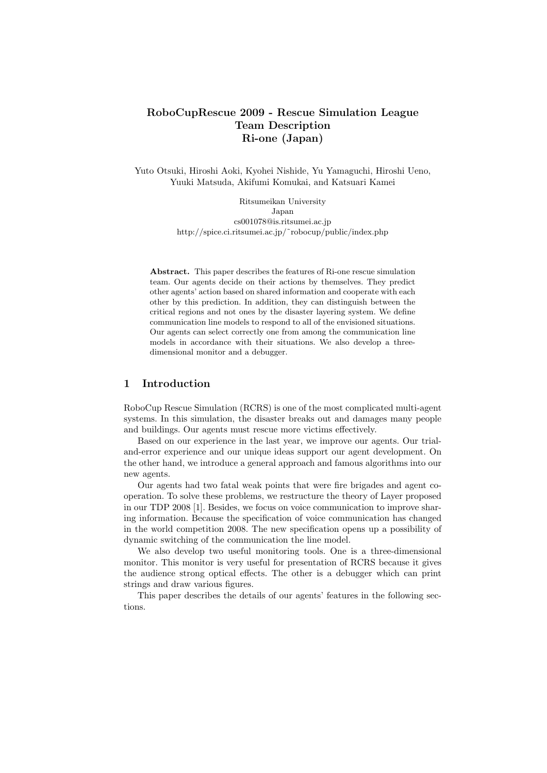# **RoboCupRescue 2009 - Rescue Simulation League Team Description Ri-one (Japan)**

Yuto Otsuki, Hiroshi Aoki, Kyohei Nishide, Yu Yamaguchi, Hiroshi Ueno, Yuuki Matsuda, Akifumi Komukai, and Katsuari Kamei

> Ritsumeikan University Japan cs001078@is.ritsumei.ac.jp http://spice.ci.ritsumei.ac.jp/˜robocup/public/index.php

**Abstract.** This paper describes the features of Ri-one rescue simulation team. Our agents decide on their actions by themselves. They predict other agents' action based on shared information and cooperate with each other by this prediction. In addition, they can distinguish between the critical regions and not ones by the disaster layering system. We define communication line models to respond to all of the envisioned situations. Our agents can select correctly one from among the communication line models in accordance with their situations. We also develop a threedimensional monitor and a debugger.

## **1 Introduction**

RoboCup Rescue Simulation (RCRS) is one of the most complicated multi-agent systems. In this simulation, the disaster breaks out and damages many people and buildings. Our agents must rescue more victims effectively.

Based on our experience in the last year, we improve our agents. Our trialand-error experience and our unique ideas support our agent development. On the other hand, we introduce a general approach and famous algorithms into our new agents.

Our agents had two fatal weak points that were fire brigades and agent cooperation. To solve these problems, we restructure the theory of Layer proposed in our TDP 2008 [1]. Besides, we focus on voice communication to improve sharing information. Because the specification of voice communication has changed in the world competition 2008. The new specification opens up a possibility of dynamic switching of the communication the line model.

We also develop two useful monitoring tools. One is a three-dimensional monitor. This monitor is very useful for presentation of RCRS because it gives the audience strong optical effects. The other is a debugger which can print strings and draw various figures.

This paper describes the details of our agents' features in the following sections.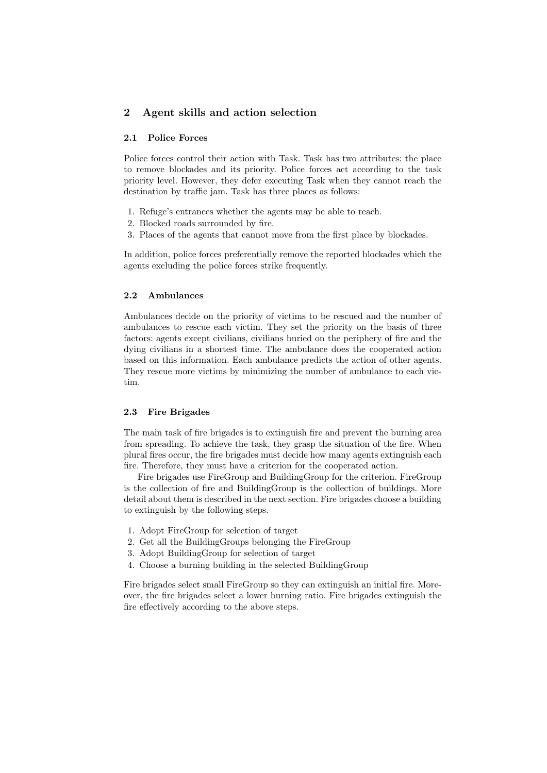## **2 Agent skills and action selection**

### **2.1 Police Forces**

Police forces control their action with Task. Task has two attributes: the place to remove blockades and its priority. Police forces act according to the task priority level. However, they defer executing Task when they cannot reach the destination by traffic jam. Task has three places as follows:

- 1. Refuge's entrances whether the agents may be able to reach.
- 2. Blocked roads surrounded by fire.
- 3. Places of the agents that cannot move from the first place by blockades.

In addition, police forces preferentially remove the reported blockades which the agents excluding the police forces strike frequently.

### **2.2 Ambulances**

Ambulances decide on the priority of victims to be rescued and the number of ambulances to rescue each victim. They set the priority on the basis of three factors: agents except civilians, civilians buried on the periphery of fire and the dying civilians in a shortest time. The ambulance does the cooperated action based on this information. Each ambulance predicts the action of other agents. They rescue more victims by minimizing the number of ambulance to each victim.

#### **2.3 Fire Brigades**

The main task of fire brigades is to extinguish fire and prevent the burning area from spreading. To achieve the task, they grasp the situation of the fire. When plural fires occur, the fire brigades must decide how many agents extinguish each fire. Therefore, they must have a criterion for the cooperated action.

Fire brigades use FireGroup and BuildingGroup for the criterion. FireGroup is the collection of fire and BuildingGroup is the collection of buildings. More detail about them is described in the next section. Fire brigades choose a building to extinguish by the following steps.

- 1. Adopt FireGroup for selection of target
- 2. Get all the BuildingGroups belonging the FireGroup
- 3. Adopt BuildingGroup for selection of target
- 4. Choose a burning building in the selected BuildingGroup

Fire brigades select small FireGroup so they can extinguish an initial fire. Moreover, the fire brigades select a lower burning ratio. Fire brigades extinguish the fire effectively according to the above steps.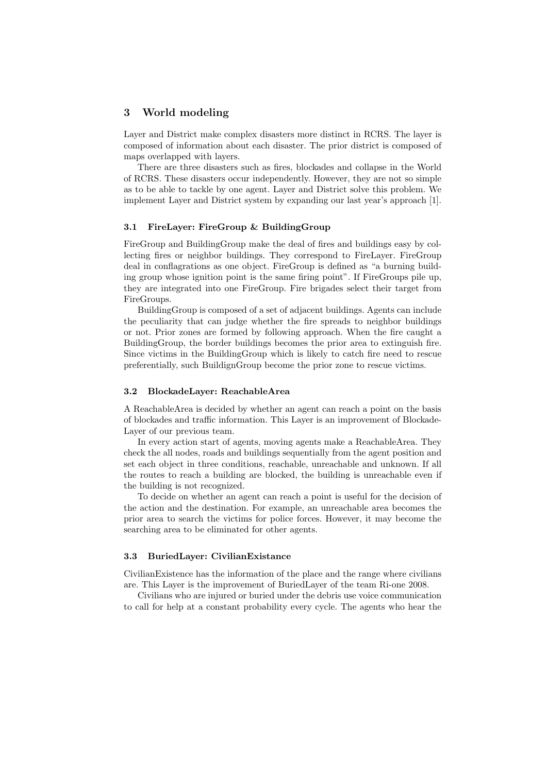### **3 World modeling**

Layer and District make complex disasters more distinct in RCRS. The layer is composed of information about each disaster. The prior district is composed of maps overlapped with layers.

There are three disasters such as fires, blockades and collapse in the World of RCRS. These disasters occur independently. However, they are not so simple as to be able to tackle by one agent. Layer and District solve this problem. We implement Layer and District system by expanding our last year's approach [1].

#### **3.1 FireLayer: FireGroup & BuildingGroup**

FireGroup and BuildingGroup make the deal of fires and buildings easy by collecting fires or neighbor buildings. They correspond to FireLayer. FireGroup deal in conflagrations as one object. FireGroup is defined as "a burning building group whose ignition point is the same firing point". If FireGroups pile up, they are integrated into one FireGroup. Fire brigades select their target from FireGroups.

BuildingGroup is composed of a set of adjacent buildings. Agents can include the peculiarity that can judge whether the fire spreads to neighbor buildings or not. Prior zones are formed by following approach. When the fire caught a BuildingGroup, the border buildings becomes the prior area to extinguish fire. Since victims in the BuildingGroup which is likely to catch fire need to rescue preferentially, such BuildignGroup become the prior zone to rescue victims.

### **3.2 BlockadeLayer: ReachableArea**

A ReachableArea is decided by whether an agent can reach a point on the basis of blockades and traffic information. This Layer is an improvement of Blockade-Layer of our previous team.

In every action start of agents, moving agents make a ReachableArea. They check the all nodes, roads and buildings sequentially from the agent position and set each object in three conditions, reachable, unreachable and unknown. If all the routes to reach a building are blocked, the building is unreachable even if the building is not recognized.

To decide on whether an agent can reach a point is useful for the decision of the action and the destination. For example, an unreachable area becomes the prior area to search the victims for police forces. However, it may become the searching area to be eliminated for other agents.

### **3.3 BuriedLayer: CivilianExistance**

CivilianExistence has the information of the place and the range where civilians are. This Layer is the improvement of BuriedLayer of the team Ri-one 2008.

Civilians who are injured or buried under the debris use voice communication to call for help at a constant probability every cycle. The agents who hear the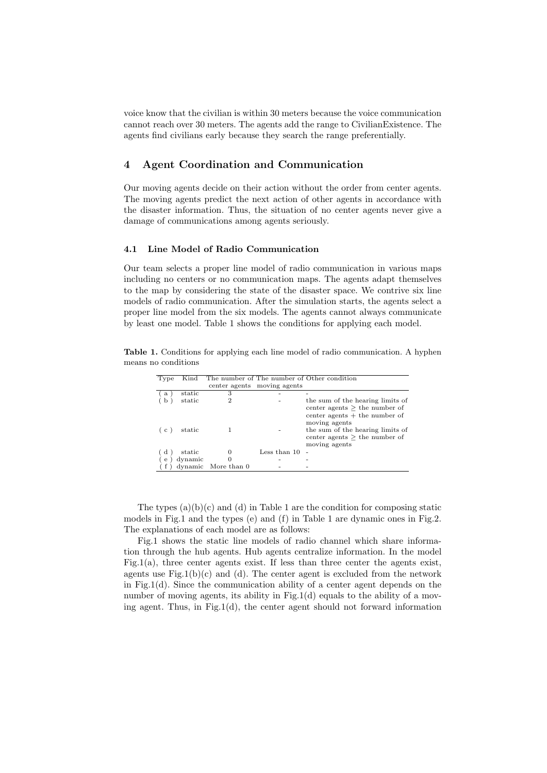voice know that the civilian is within 30 meters because the voice communication cannot reach over 30 meters. The agents add the range to CivilianExistence. The agents find civilians early because they search the range preferentially.

## **4 Agent Coordination and Communication**

Our moving agents decide on their action without the order from center agents. The moving agents predict the next action of other agents in accordance with the disaster information. Thus, the situation of no center agents never give a damage of communications among agents seriously.

#### **4.1 Line Model of Radio Communication**

Our team selects a proper line model of radio communication in various maps including no centers or no communication maps. The agents adapt themselves to the map by considering the state of the disaster space. We contrive six line models of radio communication. After the simulation starts, the agents select a proper line model from the six models. The agents cannot always communicate by least one model. Table 1 shows the conditions for applying each model.

**Table 1.** Conditions for applying each line model of radio communication. A hyphen means no conditions

| Type                                            | Kind    |                     |                             | The number of The number of Other condition                                                                                                                                 |
|-------------------------------------------------|---------|---------------------|-----------------------------|-----------------------------------------------------------------------------------------------------------------------------------------------------------------------------|
|                                                 |         |                     | center agents moving agents |                                                                                                                                                                             |
| $\mathbf{a}$                                    | static  | 3                   |                             |                                                                                                                                                                             |
|                                                 | static  | 2                   |                             | the sum of the hearing limits of                                                                                                                                            |
| $\left( \begin{array}{c} c \end{array} \right)$ | static  |                     |                             | center agents $>$ the number of<br>center agents $+$ the number of<br>moving agents<br>the sum of the hearing limits of<br>center agents $>$ the number of<br>moving agents |
| Ιd                                              | static  |                     | Less than 10                |                                                                                                                                                                             |
| $\mathbf{e}$                                    | dynamic | $\Omega$            |                             |                                                                                                                                                                             |
|                                                 |         | dynamic More than 0 |                             |                                                                                                                                                                             |

The types  $(a)(b)(c)$  and  $(d)$  in Table 1 are the condition for composing static models in Fig.1 and the types (e) and (f) in Table 1 are dynamic ones in Fig.2. The explanations of each model are as follows:

Fig.1 shows the static line models of radio channel which share information through the hub agents. Hub agents centralize information. In the model Fig.1(a), three center agents exist. If less than three center the agents exist, agents use  $\text{Fig.1(b)(c)}$  and (d). The center agent is excluded from the network in Fig.1(d). Since the communication ability of a center agent depends on the number of moving agents, its ability in Fig.1(d) equals to the ability of a moving agent. Thus, in Fig.1(d), the center agent should not forward information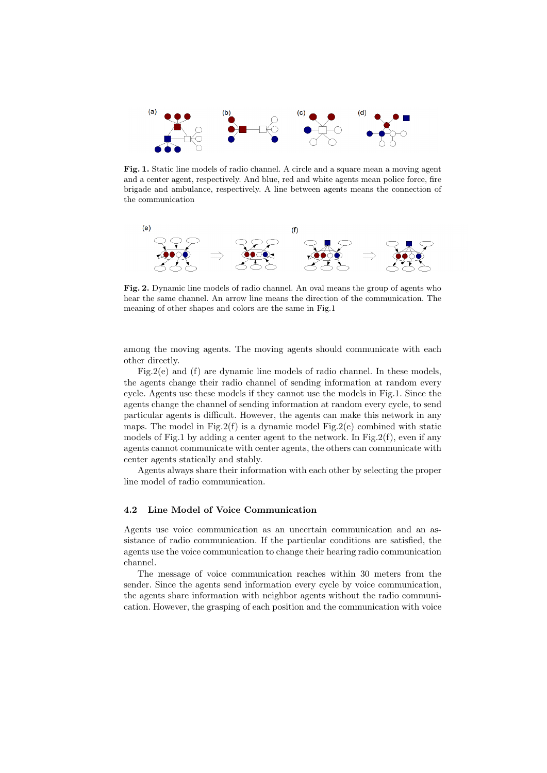

**Fig. 1.** Static line models of radio channel. A circle and a square mean a moving agent and a center agent, respectively. And blue, red and white agents mean police force, fire brigade and ambulance, respectively. A line between agents means the connection of the communication



**Fig. 2.** Dynamic line models of radio channel. An oval means the group of agents who hear the same channel. An arrow line means the direction of the communication. The meaning of other shapes and colors are the same in Fig.1

among the moving agents. The moving agents should communicate with each other directly.

Fig.2(e) and (f) are dynamic line models of radio channel. In these models, the agents change their radio channel of sending information at random every cycle. Agents use these models if they cannot use the models in Fig.1. Since the agents change the channel of sending information at random every cycle, to send particular agents is difficult. However, the agents can make this network in any maps. The model in Fig.2(f) is a dynamic model Fig.2(e) combined with static models of Fig.1 by adding a center agent to the network. In Fig.2(f), even if any agents cannot communicate with center agents, the others can communicate with center agents statically and stably.

Agents always share their information with each other by selecting the proper line model of radio communication.

### **4.2 Line Model of Voice Communication**

Agents use voice communication as an uncertain communication and an assistance of radio communication. If the particular conditions are satisfied, the agents use the voice communication to change their hearing radio communication channel.

The message of voice communication reaches within 30 meters from the sender. Since the agents send information every cycle by voice communication, the agents share information with neighbor agents without the radio communication. However, the grasping of each position and the communication with voice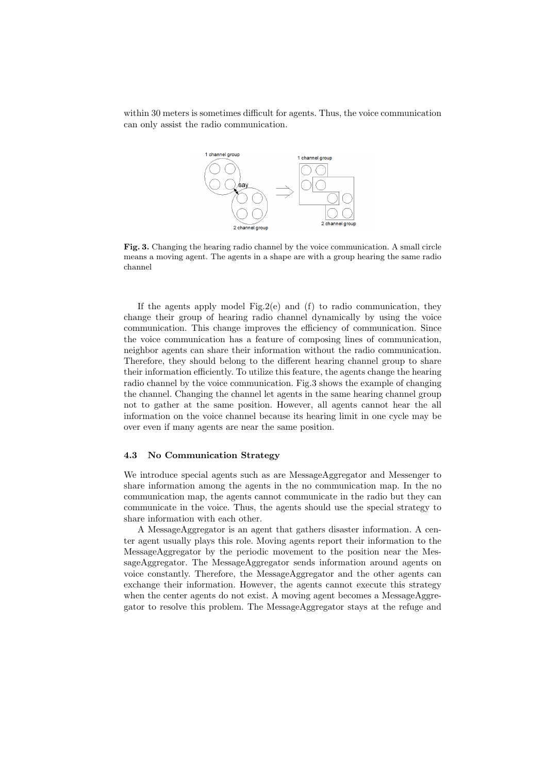within 30 meters is sometimes difficult for agents. Thus, the voice communication can only assist the radio communication.



**Fig. 3.** Changing the hearing radio channel by the voice communication. A small circle means a moving agent. The agents in a shape are with a group hearing the same radio channel

If the agents apply model Fig.2(e) and  $(f)$  to radio communication, they change their group of hearing radio channel dynamically by using the voice communication. This change improves the efficiency of communication. Since the voice communication has a feature of composing lines of communication, neighbor agents can share their information without the radio communication. Therefore, they should belong to the different hearing channel group to share their information efficiently. To utilize this feature, the agents change the hearing radio channel by the voice communication. Fig.3 shows the example of changing the channel. Changing the channel let agents in the same hearing channel group not to gather at the same position. However, all agents cannot hear the all information on the voice channel because its hearing limit in one cycle may be over even if many agents are near the same position.

### **4.3 No Communication Strategy**

We introduce special agents such as are MessageAggregator and Messenger to share information among the agents in the no communication map. In the no communication map, the agents cannot communicate in the radio but they can communicate in the voice. Thus, the agents should use the special strategy to share information with each other.

A MessageAggregator is an agent that gathers disaster information. A center agent usually plays this role. Moving agents report their information to the MessageAggregator by the periodic movement to the position near the MessageAggregator. The MessageAggregator sends information around agents on voice constantly. Therefore, the MessageAggregator and the other agents can exchange their information. However, the agents cannot execute this strategy when the center agents do not exist. A moving agent becomes a MessageAggregator to resolve this problem. The MessageAggregator stays at the refuge and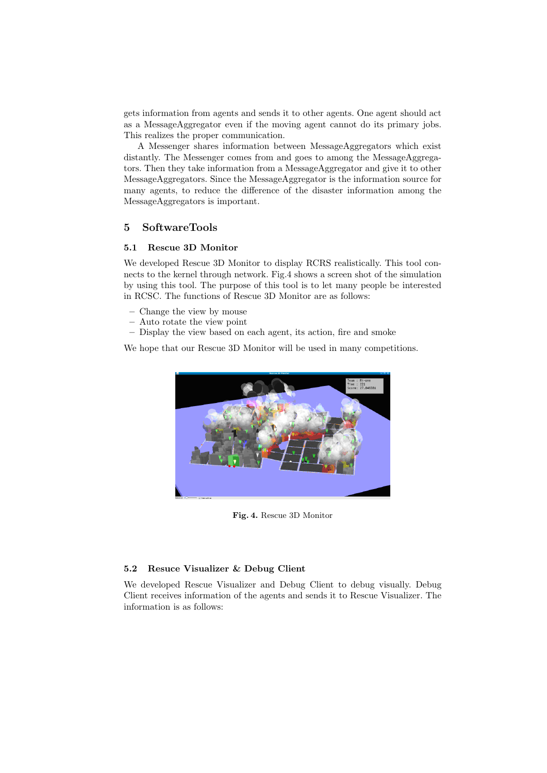gets information from agents and sends it to other agents. One agent should act as a MessageAggregator even if the moving agent cannot do its primary jobs. This realizes the proper communication.

A Messenger shares information between MessageAggregators which exist distantly. The Messenger comes from and goes to among the MessageAggregators. Then they take information from a MessageAggregator and give it to other MessageAggregators. Since the MessageAggregator is the information source for many agents, to reduce the difference of the disaster information among the MessageAggregators is important.

## **5 SoftwareTools**

### **5.1 Rescue 3D Monitor**

We developed Rescue 3D Monitor to display RCRS realistically. This tool connects to the kernel through network. Fig.4 shows a screen shot of the simulation by using this tool. The purpose of this tool is to let many people be interested in RCSC. The functions of Rescue 3D Monitor are as follows:

- **–** Change the view by mouse
- **–** Auto rotate the view point
- **–** Display the view based on each agent, its action, fire and smoke

We hope that our Rescue 3D Monitor will be used in many competitions.



**Fig. 4.** Rescue 3D Monitor

#### **5.2 Resuce Visualizer & Debug Client**

We developed Rescue Visualizer and Debug Client to debug visually. Debug Client receives information of the agents and sends it to Rescue Visualizer. The information is as follows: